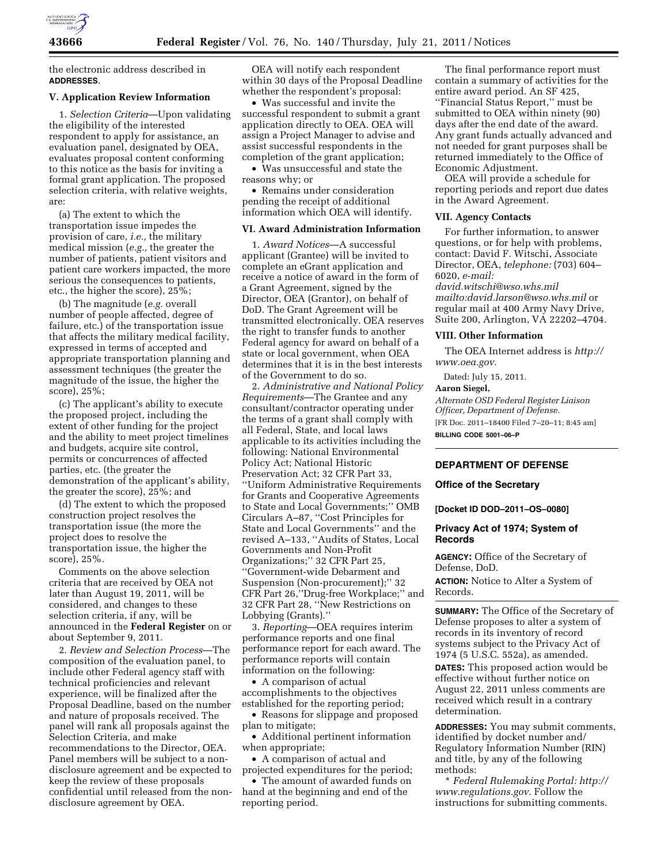

the electronic address described in **ADDRESSES**.

# **V. Application Review Information**

1. *Selection Criteria*—Upon validating the eligibility of the interested respondent to apply for assistance, an evaluation panel, designated by OEA, evaluates proposal content conforming to this notice as the basis for inviting a formal grant application. The proposed selection criteria, with relative weights, are:

(a) The extent to which the transportation issue impedes the provision of care, *i.e.,* the military medical mission (*e.g.,* the greater the number of patients, patient visitors and patient care workers impacted, the more serious the consequences to patients, etc., the higher the score), 25%;

(b) The magnitude (*e.g.* overall number of people affected, degree of failure, etc.) of the transportation issue that affects the military medical facility, expressed in terms of accepted and appropriate transportation planning and assessment techniques (the greater the magnitude of the issue, the higher the score), 25%;

(c) The applicant's ability to execute the proposed project, including the extent of other funding for the project and the ability to meet project timelines and budgets, acquire site control, permits or concurrences of affected parties, etc. (the greater the demonstration of the applicant's ability, the greater the score), 25%; and

(d) The extent to which the proposed construction project resolves the transportation issue (the more the project does to resolve the transportation issue, the higher the score), 25%.

Comments on the above selection criteria that are received by OEA not later than August 19, 2011, will be considered, and changes to these selection criteria, if any, will be announced in the **Federal Register** on or about September 9, 2011.

2. *Review and Selection Process*—The composition of the evaluation panel, to include other Federal agency staff with technical proficiencies and relevant experience, will be finalized after the Proposal Deadline, based on the number and nature of proposals received. The panel will rank all proposals against the Selection Criteria, and make recommendations to the Director, OEA. Panel members will be subject to a nondisclosure agreement and be expected to keep the review of these proposals confidential until released from the nondisclosure agreement by OEA.

OEA will notify each respondent within 30 days of the Proposal Deadline whether the respondent's proposal:

• Was successful and invite the successful respondent to submit a grant application directly to OEA. OEA will assign a Project Manager to advise and assist successful respondents in the completion of the grant application;

• Was unsuccessful and state the reasons why; or

• Remains under consideration pending the receipt of additional information which OEA will identify.

#### **VI. Award Administration Information**

1. *Award Notices*—A successful applicant (Grantee) will be invited to complete an eGrant application and receive a notice of award in the form of a Grant Agreement, signed by the Director, OEA (Grantor), on behalf of DoD. The Grant Agreement will be transmitted electronically. OEA reserves the right to transfer funds to another Federal agency for award on behalf of a state or local government, when OEA determines that it is in the best interests of the Government to do so.

2. *Administrative and National Policy Requirements*—The Grantee and any consultant/contractor operating under the terms of a grant shall comply with all Federal, State, and local laws applicable to its activities including the following: National Environmental Policy Act; National Historic Preservation Act; 32 CFR Part 33, ''Uniform Administrative Requirements for Grants and Cooperative Agreements to State and Local Governments;'' OMB Circulars A–87, ''Cost Principles for State and Local Governments'' and the revised A–133, ''Audits of States, Local Governments and Non-Profit Organizations;'' 32 CFR Part 25, ''Government-wide Debarment and Suspension (Non-procurement);'' 32 CFR Part 26,''Drug-free Workplace;'' and 32 CFR Part 28, ''New Restrictions on Lobbying (Grants).''

3. *Reporting*—OEA requires interim performance reports and one final performance report for each award. The performance reports will contain information on the following:

• A comparison of actual accomplishments to the objectives established for the reporting period;

• Reasons for slippage and proposed plan to mitigate;

• Additional pertinent information when appropriate;

• A comparison of actual and projected expenditures for the period;

• The amount of awarded funds on hand at the beginning and end of the reporting period.

The final performance report must contain a summary of activities for the entire award period. An SF 425, ''Financial Status Report,'' must be submitted to OEA within ninety (90) days after the end date of the award. Any grant funds actually advanced and not needed for grant purposes shall be returned immediately to the Office of Economic Adjustment.

OEA will provide a schedule for reporting periods and report due dates in the Award Agreement.

## **VII. Agency Contacts**

For further information, to answer questions, or for help with problems, contact: David F. Witschi, Associate Director, OEA, *telephone:* (703) 604– 6020, *e-mail:* 

*[david.witschi@wso.whs.mil](mailto:david.witschi@wso.whs.mil) mailto:david.larson@wso.whs.mil* or regular mail at 400 Army Navy Drive, Suite 200, Arlington, VA 22202–4704.

### **VIII. Other Information**

The OEA Internet address is *[http://](http://www.oea.gov) [www.oea.gov.](http://www.oea.gov)* 

Dated: July 15, 2011.

### **Aaron Siegel,**

*Alternate OSD Federal Register Liaison Officer, Department of Defense.*  [FR Doc. 2011–18400 Filed 7–20–11; 8:45 am] **BILLING CODE 5001–06–P** 

# **DEPARTMENT OF DEFENSE**

# **Office of the Secretary**

**[Docket ID DOD–2011–OS–0080]** 

# **Privacy Act of 1974; System of Records**

**AGENCY:** Office of the Secretary of Defense, DoD.

**ACTION:** Notice to Alter a System of Records.

**SUMMARY:** The Office of the Secretary of Defense proposes to alter a system of records in its inventory of record systems subject to the Privacy Act of 1974 (5 U.S.C. 552a), as amended.

**DATES:** This proposed action would be effective without further notice on August 22, 2011 unless comments are received which result in a contrary determination.

**ADDRESSES:** You may submit comments, identified by docket number and/ Regulatory Information Number (RIN) and title, by any of the following methods:

\* *Federal Rulemaking Portal: [http://](http://www.regulations.gov)  [www.regulations.gov](http://www.regulations.gov)*. Follow the instructions for submitting comments.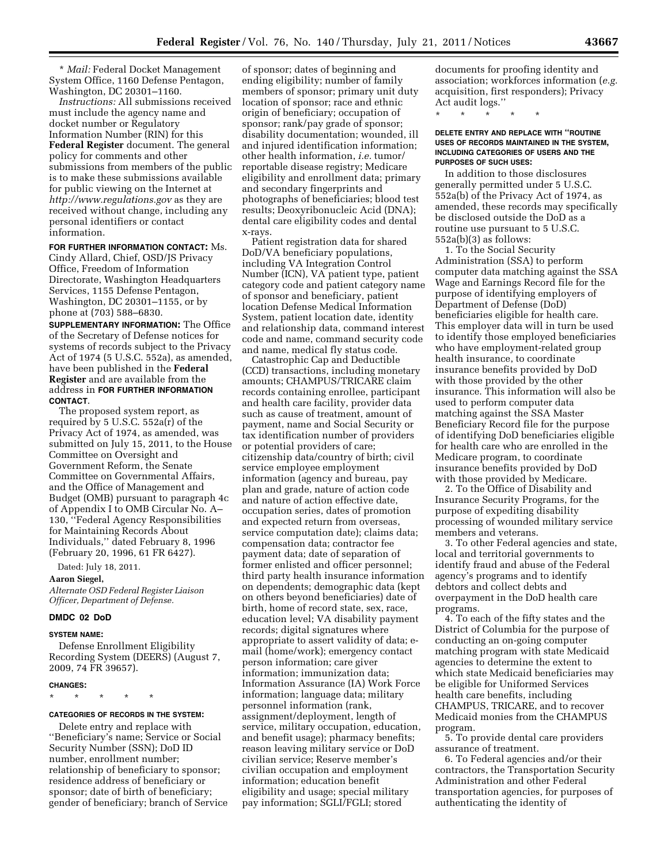\* *Mail:* Federal Docket Management System Office, 1160 Defense Pentagon, Washington, DC 20301–1160.

*Instructions:* All submissions received must include the agency name and docket number or Regulatory Information Number (RIN) for this **Federal Register** document. The general policy for comments and other submissions from members of the public is to make these submissions available for public viewing on the Internet at *<http://www.regulations.gov>* as they are received without change, including any personal identifiers or contact information.

### **FOR FURTHER INFORMATION CONTACT:** Ms.

Cindy Allard, Chief, OSD/JS Privacy Office, Freedom of Information Directorate, Washington Headquarters Services, 1155 Defense Pentagon, Washington, DC 20301–1155, or by phone at (703) 588–6830.

**SUPPLEMENTARY INFORMATION:** The Office of the Secretary of Defense notices for systems of records subject to the Privacy Act of 1974 (5 U.S.C. 552a), as amended, have been published in the **Federal Register** and are available from the address in **FOR FURTHER INFORMATION CONTACT**.

The proposed system report, as required by 5 U.S.C. 552a(r) of the Privacy Act of 1974, as amended, was submitted on July 15, 2011, to the House Committee on Oversight and Government Reform, the Senate Committee on Governmental Affairs, and the Office of Management and Budget (OMB) pursuant to paragraph 4c of Appendix I to OMB Circular No. A– 130, ''Federal Agency Responsibilities for Maintaining Records About Individuals,'' dated February 8, 1996 (February 20, 1996, 61 FR 6427).

Dated: July 18, 2011.

# **Aaron Siegel,**

*Alternate OSD Federal Register Liaison Officer, Department of Defense.* 

# **DMDC 02 DoD**

#### **SYSTEM NAME:**

Defense Enrollment Eligibility Recording System (DEERS) (August 7, 2009, 74 FR 39657).

# **CHANGES:**

#### **CATEGORIES OF RECORDS IN THE SYSTEM:**

\* \* \* \* \*

Delete entry and replace with ''Beneficiary's name; Service or Social Security Number (SSN); DoD ID number, enrollment number; relationship of beneficiary to sponsor; residence address of beneficiary or sponsor; date of birth of beneficiary; gender of beneficiary; branch of Service

of sponsor; dates of beginning and ending eligibility; number of family members of sponsor; primary unit duty location of sponsor; race and ethnic origin of beneficiary; occupation of sponsor; rank/pay grade of sponsor; disability documentation; wounded, ill and injured identification information; other health information, *i.e.* tumor/ reportable disease registry; Medicare eligibility and enrollment data; primary and secondary fingerprints and photographs of beneficiaries; blood test results; Deoxyribonucleic Acid (DNA); dental care eligibility codes and dental x-rays.

Patient registration data for shared DoD/VA beneficiary populations, including VA Integration Control Number (ICN), VA patient type, patient category code and patient category name of sponsor and beneficiary, patient location Defense Medical Information System, patient location date, identity and relationship data, command interest code and name, command security code and name, medical fly status code.

Catastrophic Cap and Deductible (CCD) transactions, including monetary amounts; CHAMPUS/TRICARE claim records containing enrollee, participant and health care facility, provider data such as cause of treatment, amount of payment, name and Social Security or tax identification number of providers or potential providers of care; citizenship data/country of birth; civil service employee employment information (agency and bureau, pay plan and grade, nature of action code and nature of action effective date, occupation series, dates of promotion and expected return from overseas, service computation date); claims data; compensation data; contractor fee payment data; date of separation of former enlisted and officer personnel; third party health insurance information on dependents; demographic data (kept on others beyond beneficiaries) date of birth, home of record state, sex, race, education level; VA disability payment records; digital signatures where appropriate to assert validity of data; email (home/work); emergency contact person information; care giver information; immunization data; Information Assurance (IA) Work Force information; language data; military personnel information (rank, assignment/deployment, length of service, military occupation, education, and benefit usage); pharmacy benefits; reason leaving military service or DoD civilian service; Reserve member's civilian occupation and employment information; education benefit eligibility and usage; special military pay information; SGLI/FGLI; stored

documents for proofing identity and association; workforces information (*e.g.*  acquisition, first responders); Privacy Act audit logs.''

\* \* \* \* \*

### **DELETE ENTRY AND REPLACE WITH ''ROUTINE USES OF RECORDS MAINTAINED IN THE SYSTEM, INCLUDING CATEGORIES OF USERS AND THE PURPOSES OF SUCH USES:**

In addition to those disclosures generally permitted under 5 U.S.C. 552a(b) of the Privacy Act of 1974, as amended, these records may specifically be disclosed outside the DoD as a routine use pursuant to 5 U.S.C. 552a(b)(3) as follows:

1. To the Social Security Administration (SSA) to perform computer data matching against the SSA Wage and Earnings Record file for the purpose of identifying employers of Department of Defense (DoD) beneficiaries eligible for health care. This employer data will in turn be used to identify those employed beneficiaries who have employment-related group health insurance, to coordinate insurance benefits provided by DoD with those provided by the other insurance. This information will also be used to perform computer data matching against the SSA Master Beneficiary Record file for the purpose of identifying DoD beneficiaries eligible for health care who are enrolled in the Medicare program, to coordinate insurance benefits provided by DoD with those provided by Medicare.

2. To the Office of Disability and Insurance Security Programs, for the purpose of expediting disability processing of wounded military service members and veterans.

3. To other Federal agencies and state, local and territorial governments to identify fraud and abuse of the Federal agency's programs and to identify debtors and collect debts and overpayment in the DoD health care programs.

4. To each of the fifty states and the District of Columbia for the purpose of conducting an on-going computer matching program with state Medicaid agencies to determine the extent to which state Medicaid beneficiaries may be eligible for Uniformed Services health care benefits, including CHAMPUS, TRICARE, and to recover Medicaid monies from the CHAMPUS program.

5. To provide dental care providers assurance of treatment.

6. To Federal agencies and/or their contractors, the Transportation Security Administration and other Federal transportation agencies, for purposes of authenticating the identity of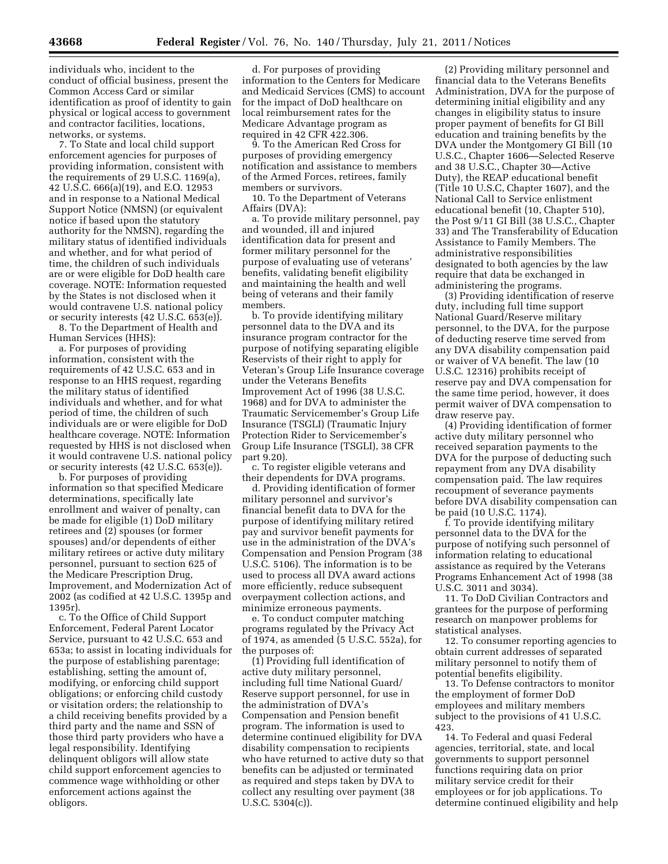individuals who, incident to the conduct of official business, present the Common Access Card or similar identification as proof of identity to gain physical or logical access to government and contractor facilities, locations, networks, or systems.

7. To State and local child support enforcement agencies for purposes of providing information, consistent with the requirements of 29 U.S.C. 1169(a), 42 U.S.C. 666(a)(19), and E.O. 12953 and in response to a National Medical Support Notice (NMSN) (or equivalent notice if based upon the statutory authority for the NMSN), regarding the military status of identified individuals and whether, and for what period of time, the children of such individuals are or were eligible for DoD health care coverage. NOTE: Information requested by the States is not disclosed when it would contravene U.S. national policy or security interests (42 U.S.C. 653(e)).

8. To the Department of Health and Human Services (HHS):

a. For purposes of providing information, consistent with the requirements of 42 U.S.C. 653 and in response to an HHS request, regarding the military status of identified individuals and whether, and for what period of time, the children of such individuals are or were eligible for DoD healthcare coverage. NOTE: Information requested by HHS is not disclosed when it would contravene U.S. national policy or security interests (42 U.S.C. 653(e)).

b. For purposes of providing information so that specified Medicare determinations, specifically late enrollment and waiver of penalty, can be made for eligible (1) DoD military retirees and (2) spouses (or former spouses) and/or dependents of either military retirees or active duty military personnel, pursuant to section 625 of the Medicare Prescription Drug, Improvement, and Modernization Act of 2002 (as codified at 42 U.S.C. 1395p and 1395r).

c. To the Office of Child Support Enforcement, Federal Parent Locator Service, pursuant to 42 U.S.C. 653 and 653a; to assist in locating individuals for the purpose of establishing parentage; establishing, setting the amount of, modifying, or enforcing child support obligations; or enforcing child custody or visitation orders; the relationship to a child receiving benefits provided by a third party and the name and SSN of those third party providers who have a legal responsibility. Identifying delinquent obligors will allow state child support enforcement agencies to commence wage withholding or other enforcement actions against the obligors.

d. For purposes of providing information to the Centers for Medicare and Medicaid Services (CMS) to account for the impact of DoD healthcare on local reimbursement rates for the Medicare Advantage program as required in 42 CFR 422.306.

9. To the American Red Cross for purposes of providing emergency notification and assistance to members of the Armed Forces, retirees, family members or survivors.

10. To the Department of Veterans Affairs (DVA):

a. To provide military personnel, pay and wounded, ill and injured identification data for present and former military personnel for the purpose of evaluating use of veterans' benefits, validating benefit eligibility and maintaining the health and well being of veterans and their family members.

b. To provide identifying military personnel data to the DVA and its insurance program contractor for the purpose of notifying separating eligible Reservists of their right to apply for Veteran's Group Life Insurance coverage under the Veterans Benefits Improvement Act of 1996 (38 U.S.C. 1968) and for DVA to administer the Traumatic Servicemember's Group Life Insurance (TSGLI) (Traumatic Injury Protection Rider to Servicemember's Group Life Insurance (TSGLI), 38 CFR part 9.20).

c. To register eligible veterans and their dependents for DVA programs.

d. Providing identification of former military personnel and survivor's financial benefit data to DVA for the purpose of identifying military retired pay and survivor benefit payments for use in the administration of the DVA's Compensation and Pension Program (38 U.S.C. 5106). The information is to be used to process all DVA award actions more efficiently, reduce subsequent overpayment collection actions, and minimize erroneous payments.

e. To conduct computer matching programs regulated by the Privacy Act of 1974, as amended (5 U.S.C. 552a), for the purposes of:

(1) Providing full identification of active duty military personnel, including full time National Guard/ Reserve support personnel, for use in the administration of DVA's Compensation and Pension benefit program. The information is used to determine continued eligibility for DVA disability compensation to recipients who have returned to active duty so that benefits can be adjusted or terminated as required and steps taken by DVA to collect any resulting over payment (38 U.S.C. 5304(c)).

(2) Providing military personnel and financial data to the Veterans Benefits Administration, DVA for the purpose of determining initial eligibility and any changes in eligibility status to insure proper payment of benefits for GI Bill education and training benefits by the DVA under the Montgomery GI Bill (10 U.S.C., Chapter 1606—Selected Reserve and 38 U.S.C., Chapter 30—Active Duty), the REAP educational benefit (Title 10 U.S.C, Chapter 1607), and the National Call to Service enlistment educational benefit (10, Chapter 510), the Post 9/11 GI Bill (38 U.S.C., Chapter 33) and The Transferability of Education Assistance to Family Members. The administrative responsibilities designated to both agencies by the law require that data be exchanged in administering the programs.

(3) Providing identification of reserve duty, including full time support National Guard/Reserve military personnel, to the DVA, for the purpose of deducting reserve time served from any DVA disability compensation paid or waiver of VA benefit. The law (10 U.S.C. 12316) prohibits receipt of reserve pay and DVA compensation for the same time period, however, it does permit waiver of DVA compensation to draw reserve pay.

(4) Providing identification of former active duty military personnel who received separation payments to the DVA for the purpose of deducting such repayment from any DVA disability compensation paid. The law requires recoupment of severance payments before DVA disability compensation can be paid (10 U.S.C. 1174).

f. To provide identifying military personnel data to the DVA for the purpose of notifying such personnel of information relating to educational assistance as required by the Veterans Programs Enhancement Act of 1998 (38 U.S.C. 3011 and 3034).

11. To DoD Civilian Contractors and grantees for the purpose of performing research on manpower problems for statistical analyses.

12. To consumer reporting agencies to obtain current addresses of separated military personnel to notify them of potential benefits eligibility.

13. To Defense contractors to monitor the employment of former DoD employees and military members subject to the provisions of 41 U.S.C. 423.

14. To Federal and quasi Federal agencies, territorial, state, and local governments to support personnel functions requiring data on prior military service credit for their employees or for job applications. To determine continued eligibility and help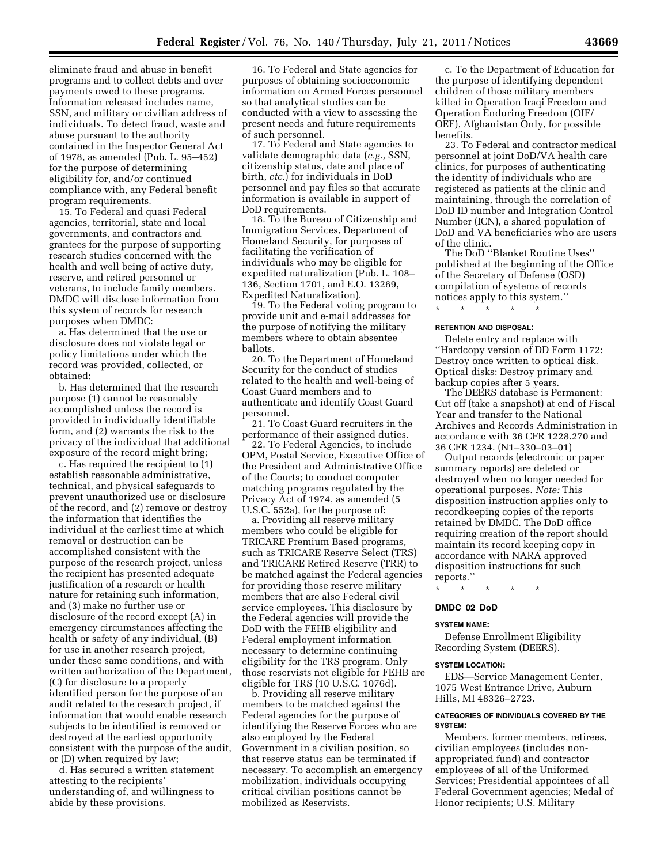eliminate fraud and abuse in benefit programs and to collect debts and over payments owed to these programs. Information released includes name, SSN, and military or civilian address of individuals. To detect fraud, waste and abuse pursuant to the authority contained in the Inspector General Act of 1978, as amended (Pub. L. 95–452) for the purpose of determining eligibility for, and/or continued compliance with, any Federal benefit program requirements.

15. To Federal and quasi Federal agencies, territorial, state and local governments, and contractors and grantees for the purpose of supporting research studies concerned with the health and well being of active duty, reserve, and retired personnel or veterans, to include family members. DMDC will disclose information from this system of records for research purposes when DMDC:

a. Has determined that the use or disclosure does not violate legal or policy limitations under which the record was provided, collected, or obtained;

b. Has determined that the research purpose (1) cannot be reasonably accomplished unless the record is provided in individually identifiable form, and (2) warrants the risk to the privacy of the individual that additional exposure of the record might bring;

c. Has required the recipient to (1) establish reasonable administrative, technical, and physical safeguards to prevent unauthorized use or disclosure of the record, and (2) remove or destroy the information that identifies the individual at the earliest time at which removal or destruction can be accomplished consistent with the purpose of the research project, unless the recipient has presented adequate justification of a research or health nature for retaining such information, and (3) make no further use or disclosure of the record except (A) in emergency circumstances affecting the health or safety of any individual, (B) for use in another research project, under these same conditions, and with written authorization of the Department, (C) for disclosure to a properly identified person for the purpose of an audit related to the research project, if information that would enable research subjects to be identified is removed or destroyed at the earliest opportunity consistent with the purpose of the audit, or (D) when required by law;

d. Has secured a written statement attesting to the recipients' understanding of, and willingness to abide by these provisions.

16. To Federal and State agencies for purposes of obtaining socioeconomic information on Armed Forces personnel so that analytical studies can be conducted with a view to assessing the present needs and future requirements of such personnel.

17. To Federal and State agencies to validate demographic data (*e.g.,* SSN, citizenship status, date and place of birth, *etc.*) for individuals in DoD personnel and pay files so that accurate information is available in support of DoD requirements.

18. To the Bureau of Citizenship and Immigration Services, Department of Homeland Security, for purposes of facilitating the verification of individuals who may be eligible for expedited naturalization (Pub. L. 108– 136, Section 1701, and E.O. 13269, Expedited Naturalization).

19. To the Federal voting program to provide unit and e-mail addresses for the purpose of notifying the military members where to obtain absentee ballots.

20. To the Department of Homeland Security for the conduct of studies related to the health and well-being of Coast Guard members and to authenticate and identify Coast Guard personnel.

21. To Coast Guard recruiters in the performance of their assigned duties.

22. To Federal Agencies, to include OPM, Postal Service, Executive Office of the President and Administrative Office of the Courts; to conduct computer matching programs regulated by the Privacy Act of 1974, as amended (5 U.S.C. 552a), for the purpose of:

a. Providing all reserve military members who could be eligible for TRICARE Premium Based programs, such as TRICARE Reserve Select (TRS) and TRICARE Retired Reserve (TRR) to be matched against the Federal agencies for providing those reserve military members that are also Federal civil service employees. This disclosure by the Federal agencies will provide the DoD with the FEHB eligibility and Federal employment information necessary to determine continuing eligibility for the TRS program. Only those reservists not eligible for FEHB are eligible for TRS (10 U.S.C. 1076d).

b. Providing all reserve military members to be matched against the Federal agencies for the purpose of identifying the Reserve Forces who are also employed by the Federal Government in a civilian position, so that reserve status can be terminated if necessary. To accomplish an emergency mobilization, individuals occupying critical civilian positions cannot be mobilized as Reservists.

c. To the Department of Education for the purpose of identifying dependent children of those military members killed in Operation Iraqi Freedom and Operation Enduring Freedom (OIF/ OEF), Afghanistan Only, for possible benefits.

23. To Federal and contractor medical personnel at joint DoD/VA health care clinics, for purposes of authenticating the identity of individuals who are registered as patients at the clinic and maintaining, through the correlation of DoD ID number and Integration Control Number (ICN), a shared population of DoD and VA beneficiaries who are users of the clinic.

The DoD ''Blanket Routine Uses'' published at the beginning of the Office of the Secretary of Defense (OSD) compilation of systems of records notices apply to this system.''

\* \* \* \* \*

### **RETENTION AND DISPOSAL:**

Delete entry and replace with ''Hardcopy version of DD Form 1172: Destroy once written to optical disk. Optical disks: Destroy primary and backup copies after 5 years.

The DEERS database is Permanent: Cut off (take a snapshot) at end of Fiscal Year and transfer to the National Archives and Records Administration in accordance with 36 CFR 1228.270 and 36 CFR 1234. (N1–330–03–01)

Output records (electronic or paper summary reports) are deleted or destroyed when no longer needed for operational purposes. *Note:* This disposition instruction applies only to recordkeeping copies of the reports retained by DMDC. The DoD office requiring creation of the report should maintain its record keeping copy in accordance with NARA approved disposition instructions for such reports.''

\* \* \* \* \*

### **DMDC 02 DoD**

### **SYSTEM NAME:**

Defense Enrollment Eligibility Recording System (DEERS).

### **SYSTEM LOCATION:**

EDS—Service Management Center, 1075 West Entrance Drive, Auburn Hills, MI 48326–2723.

# **CATEGORIES OF INDIVIDUALS COVERED BY THE SYSTEM:**

Members, former members, retirees, civilian employees (includes nonappropriated fund) and contractor employees of all of the Uniformed Services; Presidential appointees of all Federal Government agencies; Medal of Honor recipients; U.S. Military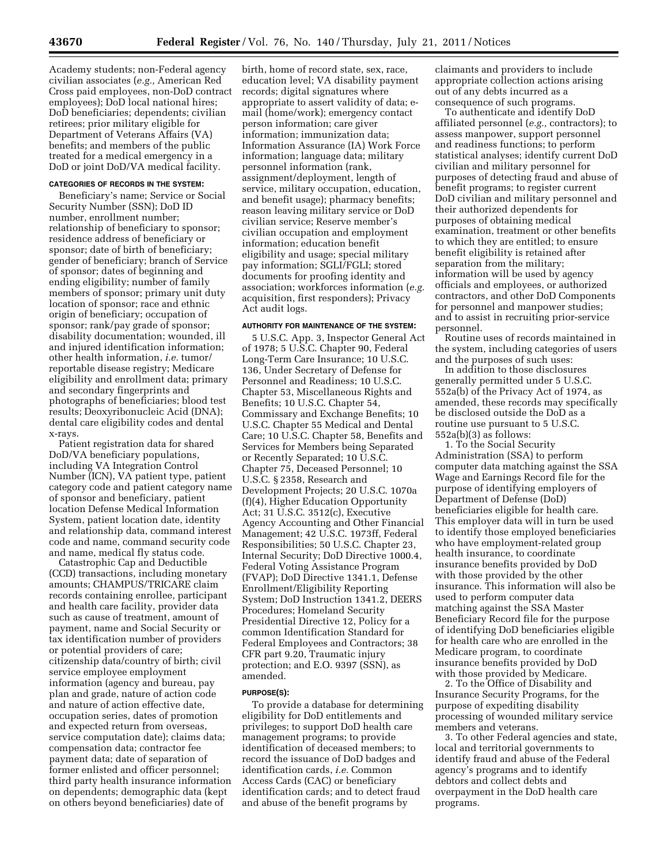Academy students; non-Federal agency civilian associates (*e.g.,* American Red Cross paid employees, non-DoD contract employees); DoD local national hires; DoD beneficiaries; dependents; civilian retirees; prior military eligible for Department of Veterans Affairs (VA) benefits; and members of the public treated for a medical emergency in a DoD or joint DoD/VA medical facility.

### **CATEGORIES OF RECORDS IN THE SYSTEM:**

Beneficiary's name; Service or Social Security Number (SSN); DoD ID number, enrollment number; relationship of beneficiary to sponsor; residence address of beneficiary or sponsor; date of birth of beneficiary; gender of beneficiary; branch of Service of sponsor; dates of beginning and ending eligibility; number of family members of sponsor; primary unit duty location of sponsor; race and ethnic origin of beneficiary; occupation of sponsor; rank/pay grade of sponsor; disability documentation; wounded, ill and injured identification information; other health information, *i.e.* tumor/ reportable disease registry; Medicare eligibility and enrollment data; primary and secondary fingerprints and photographs of beneficiaries; blood test results; Deoxyribonucleic Acid (DNA); dental care eligibility codes and dental x-rays.

Patient registration data for shared DoD/VA beneficiary populations, including VA Integration Control Number (ICN), VA patient type, patient category code and patient category name of sponsor and beneficiary, patient location Defense Medical Information System, patient location date, identity and relationship data, command interest code and name, command security code and name, medical fly status code.

Catastrophic Cap and Deductible (CCD) transactions, including monetary amounts; CHAMPUS/TRICARE claim records containing enrollee, participant and health care facility, provider data such as cause of treatment, amount of payment, name and Social Security or tax identification number of providers or potential providers of care; citizenship data/country of birth; civil service employee employment information (agency and bureau, pay plan and grade, nature of action code and nature of action effective date, occupation series, dates of promotion and expected return from overseas, service computation date); claims data; compensation data; contractor fee payment data; date of separation of former enlisted and officer personnel; third party health insurance information on dependents; demographic data (kept on others beyond beneficiaries) date of

birth, home of record state, sex, race, education level; VA disability payment records; digital signatures where appropriate to assert validity of data; email (home/work); emergency contact person information; care giver information; immunization data; Information Assurance (IA) Work Force information; language data; military personnel information (rank, assignment/deployment, length of service, military occupation, education, and benefit usage); pharmacy benefits; reason leaving military service or DoD civilian service; Reserve member's civilian occupation and employment information; education benefit eligibility and usage; special military pay information; SGLI/FGLI; stored documents for proofing identity and association; workforces information (*e.g.*  acquisition, first responders); Privacy Act audit logs.

### **AUTHORITY FOR MAINTENANCE OF THE SYSTEM:**

5 U.S.C. App. 3, Inspector General Act of 1978; 5 U.S.C. Chapter 90, Federal Long-Term Care Insurance; 10 U.S.C. 136, Under Secretary of Defense for Personnel and Readiness; 10 U.S.C. Chapter 53, Miscellaneous Rights and Benefits; 10 U.S.C. Chapter 54, Commissary and Exchange Benefits; 10 U.S.C. Chapter 55 Medical and Dental Care; 10 U.S.C. Chapter 58, Benefits and Services for Members being Separated or Recently Separated; 10 U.S.C. Chapter 75, Deceased Personnel; 10 U.S.C. § 2358, Research and Development Projects; 20 U.S.C. 1070a (f)(4), Higher Education Opportunity Act; 31 U.S.C. 3512(c), Executive Agency Accounting and Other Financial Management; 42 U.S.C. 1973ff, Federal Responsibilities; 50 U.S.C. Chapter 23, Internal Security; DoD Directive 1000.4, Federal Voting Assistance Program (FVAP); DoD Directive 1341.1, Defense Enrollment/Eligibility Reporting System; DoD Instruction 1341.2, DEERS Procedures; Homeland Security Presidential Directive 12, Policy for a common Identification Standard for Federal Employees and Contractors; 38 CFR part 9.20, Traumatic injury protection; and E.O. 9397 (SSN), as amended.

#### **PURPOSE(S):**

To provide a database for determining eligibility for DoD entitlements and privileges; to support DoD health care management programs; to provide identification of deceased members; to record the issuance of DoD badges and identification cards, *i.e.* Common Access Cards (CAC) or beneficiary identification cards; and to detect fraud and abuse of the benefit programs by

claimants and providers to include appropriate collection actions arising out of any debts incurred as a consequence of such programs.

To authenticate and identify DoD affiliated personnel (*e.g.,* contractors); to assess manpower, support personnel and readiness functions; to perform statistical analyses; identify current DoD civilian and military personnel for purposes of detecting fraud and abuse of benefit programs; to register current DoD civilian and military personnel and their authorized dependents for purposes of obtaining medical examination, treatment or other benefits to which they are entitled; to ensure benefit eligibility is retained after separation from the military; information will be used by agency officials and employees, or authorized contractors, and other DoD Components for personnel and manpower studies; and to assist in recruiting prior-service personnel.

Routine uses of records maintained in the system, including categories of users and the purposes of such uses:

In addition to those disclosures generally permitted under 5 U.S.C. 552a(b) of the Privacy Act of 1974, as amended, these records may specifically be disclosed outside the DoD as a routine use pursuant to 5 U.S.C. 552a(b)(3) as follows:

1. To the Social Security Administration (SSA) to perform computer data matching against the SSA Wage and Earnings Record file for the purpose of identifying employers of Department of Defense (DoD) beneficiaries eligible for health care. This employer data will in turn be used to identify those employed beneficiaries who have employment-related group health insurance, to coordinate insurance benefits provided by DoD with those provided by the other insurance. This information will also be used to perform computer data matching against the SSA Master Beneficiary Record file for the purpose of identifying DoD beneficiaries eligible for health care who are enrolled in the Medicare program, to coordinate insurance benefits provided by DoD with those provided by Medicare.

2. To the Office of Disability and Insurance Security Programs, for the purpose of expediting disability processing of wounded military service members and veterans.

3. To other Federal agencies and state, local and territorial governments to identify fraud and abuse of the Federal agency's programs and to identify debtors and collect debts and overpayment in the DoD health care programs.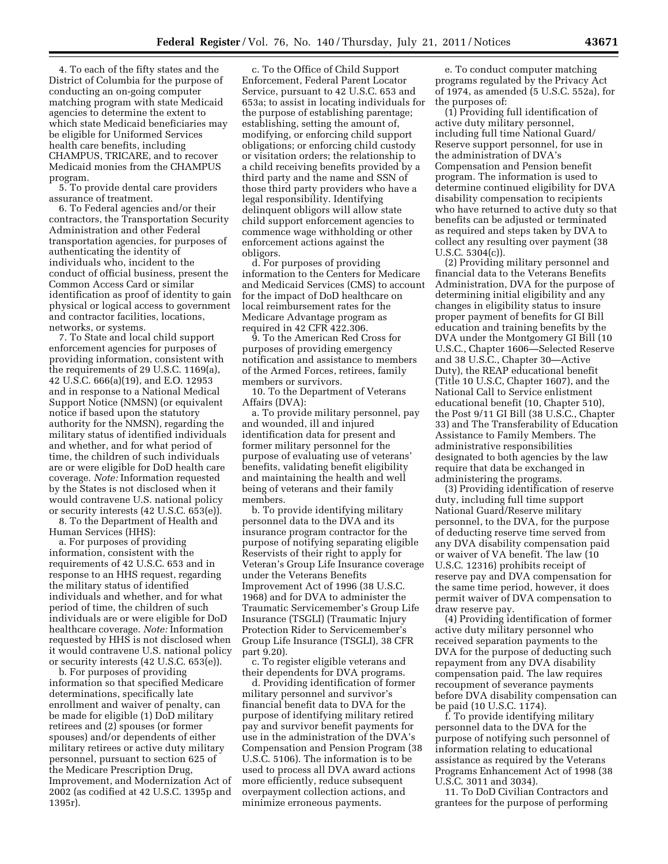4. To each of the fifty states and the District of Columbia for the purpose of conducting an on-going computer matching program with state Medicaid agencies to determine the extent to which state Medicaid beneficiaries may be eligible for Uniformed Services health care benefits, including CHAMPUS, TRICARE, and to recover Medicaid monies from the CHAMPUS program.

5. To provide dental care providers assurance of treatment.

6. To Federal agencies and/or their contractors, the Transportation Security Administration and other Federal transportation agencies, for purposes of authenticating the identity of individuals who, incident to the conduct of official business, present the Common Access Card or similar identification as proof of identity to gain physical or logical access to government and contractor facilities, locations, networks, or systems.

7. To State and local child support enforcement agencies for purposes of providing information, consistent with the requirements of 29 U.S.C. 1169(a), 42 U.S.C. 666(a)(19), and E.O. 12953 and in response to a National Medical Support Notice (NMSN) (or equivalent notice if based upon the statutory authority for the NMSN), regarding the military status of identified individuals and whether, and for what period of time, the children of such individuals are or were eligible for DoD health care coverage. *Note:* Information requested by the States is not disclosed when it would contravene U.S. national policy or security interests (42 U.S.C. 653(e)). 8. To the Department of Health and

Human Services (HHS):

a. For purposes of providing information, consistent with the requirements of 42 U.S.C. 653 and in response to an HHS request, regarding the military status of identified individuals and whether, and for what period of time, the children of such individuals are or were eligible for DoD healthcare coverage. *Note:* Information requested by HHS is not disclosed when it would contravene U.S. national policy or security interests (42 U.S.C. 653(e)).

b. For purposes of providing information so that specified Medicare determinations, specifically late enrollment and waiver of penalty, can be made for eligible (1) DoD military retirees and (2) spouses (or former spouses) and/or dependents of either military retirees or active duty military personnel, pursuant to section 625 of the Medicare Prescription Drug, Improvement, and Modernization Act of 2002 (as codified at 42 U.S.C. 1395p and 1395r).

c. To the Office of Child Support Enforcement, Federal Parent Locator Service, pursuant to 42 U.S.C. 653 and 653a; to assist in locating individuals for the purpose of establishing parentage; establishing, setting the amount of, modifying, or enforcing child support obligations; or enforcing child custody or visitation orders; the relationship to a child receiving benefits provided by a third party and the name and SSN of those third party providers who have a legal responsibility. Identifying delinquent obligors will allow state child support enforcement agencies to commence wage withholding or other enforcement actions against the obligors.

d. For purposes of providing information to the Centers for Medicare and Medicaid Services (CMS) to account for the impact of DoD healthcare on local reimbursement rates for the Medicare Advantage program as required in 42 CFR 422.306.

9. To the American Red Cross for purposes of providing emergency notification and assistance to members of the Armed Forces, retirees, family members or survivors.

10. To the Department of Veterans Affairs (DVA):

a. To provide military personnel, pay and wounded, ill and injured identification data for present and former military personnel for the purpose of evaluating use of veterans' benefits, validating benefit eligibility and maintaining the health and well being of veterans and their family members.

b. To provide identifying military personnel data to the DVA and its insurance program contractor for the purpose of notifying separating eligible Reservists of their right to apply for Veteran's Group Life Insurance coverage under the Veterans Benefits Improvement Act of 1996 (38 U.S.C. 1968) and for DVA to administer the Traumatic Servicemember's Group Life Insurance (TSGLI) (Traumatic Injury Protection Rider to Servicemember's Group Life Insurance (TSGLI), 38 CFR part 9.20).

c. To register eligible veterans and their dependents for DVA programs.

d. Providing identification of former military personnel and survivor's financial benefit data to DVA for the purpose of identifying military retired pay and survivor benefit payments for use in the administration of the DVA's Compensation and Pension Program (38 U.S.C. 5106). The information is to be used to process all DVA award actions more efficiently, reduce subsequent overpayment collection actions, and minimize erroneous payments.

e. To conduct computer matching programs regulated by the Privacy Act of 1974, as amended (5 U.S.C. 552a), for the purposes of:

(1) Providing full identification of active duty military personnel, including full time National Guard/ Reserve support personnel, for use in the administration of DVA's Compensation and Pension benefit program. The information is used to determine continued eligibility for DVA disability compensation to recipients who have returned to active duty so that benefits can be adjusted or terminated as required and steps taken by DVA to collect any resulting over payment (38 U.S.C. 5304(c)).

(2) Providing military personnel and financial data to the Veterans Benefits Administration, DVA for the purpose of determining initial eligibility and any changes in eligibility status to insure proper payment of benefits for GI Bill education and training benefits by the DVA under the Montgomery GI Bill (10 U.S.C., Chapter 1606—Selected Reserve and 38 U.S.C., Chapter 30—Active Duty), the REAP educational benefit (Title 10 U.S.C, Chapter 1607), and the National Call to Service enlistment educational benefit (10, Chapter 510), the Post 9/11 GI Bill (38 U.S.C., Chapter 33) and The Transferability of Education Assistance to Family Members. The administrative responsibilities designated to both agencies by the law require that data be exchanged in administering the programs.

(3) Providing identification of reserve duty, including full time support National Guard/Reserve military personnel, to the DVA, for the purpose of deducting reserve time served from any DVA disability compensation paid or waiver of VA benefit. The law (10 U.S.C. 12316) prohibits receipt of reserve pay and DVA compensation for the same time period, however, it does permit waiver of DVA compensation to draw reserve pay.

(4) Providing identification of former active duty military personnel who received separation payments to the DVA for the purpose of deducting such repayment from any DVA disability compensation paid. The law requires recoupment of severance payments before DVA disability compensation can be paid (10 U.S.C. 1174).

f. To provide identifying military personnel data to the DVA for the purpose of notifying such personnel of information relating to educational assistance as required by the Veterans Programs Enhancement Act of 1998 (38 U.S.C. 3011 and 3034).

11. To DoD Civilian Contractors and grantees for the purpose of performing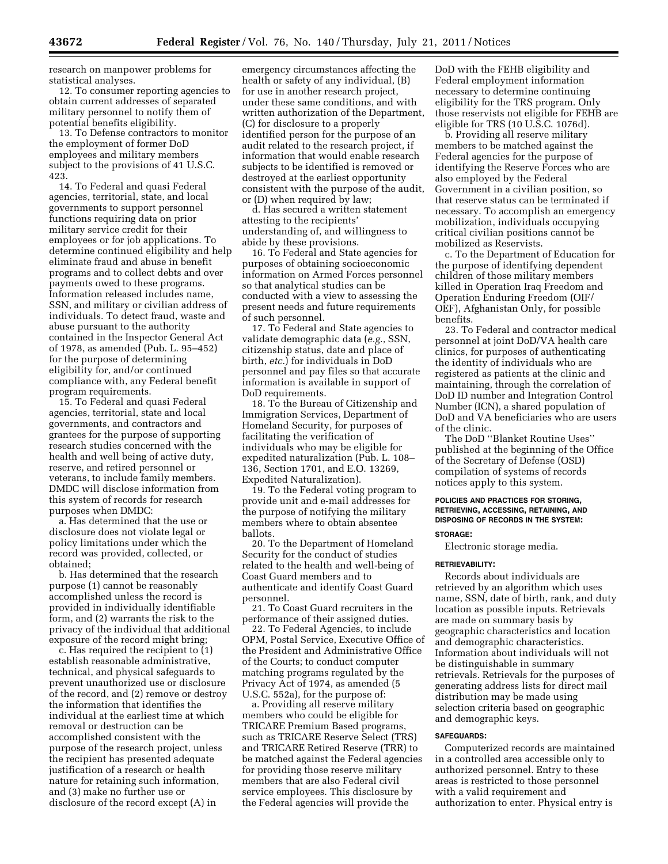research on manpower problems for statistical analyses.

12. To consumer reporting agencies to obtain current addresses of separated military personnel to notify them of potential benefits eligibility.

13. To Defense contractors to monitor the employment of former DoD employees and military members subject to the provisions of 41 U.S.C. 423.

14. To Federal and quasi Federal agencies, territorial, state, and local governments to support personnel functions requiring data on prior military service credit for their employees or for job applications. To determine continued eligibility and help eliminate fraud and abuse in benefit programs and to collect debts and over payments owed to these programs. Information released includes name, SSN, and military or civilian address of individuals. To detect fraud, waste and abuse pursuant to the authority contained in the Inspector General Act of 1978, as amended (Pub. L. 95–452) for the purpose of determining eligibility for, and/or continued compliance with, any Federal benefit program requirements.

15. To Federal and quasi Federal agencies, territorial, state and local governments, and contractors and grantees for the purpose of supporting research studies concerned with the health and well being of active duty, reserve, and retired personnel or veterans, to include family members. DMDC will disclose information from this system of records for research purposes when DMDC:

a. Has determined that the use or disclosure does not violate legal or policy limitations under which the record was provided, collected, or obtained;

b. Has determined that the research purpose (1) cannot be reasonably accomplished unless the record is provided in individually identifiable form, and (2) warrants the risk to the privacy of the individual that additional exposure of the record might bring;

c. Has required the recipient to (1) establish reasonable administrative, technical, and physical safeguards to prevent unauthorized use or disclosure of the record, and (2) remove or destroy the information that identifies the individual at the earliest time at which removal or destruction can be accomplished consistent with the purpose of the research project, unless the recipient has presented adequate justification of a research or health nature for retaining such information, and (3) make no further use or disclosure of the record except (A) in

emergency circumstances affecting the health or safety of any individual, (B) for use in another research project, under these same conditions, and with written authorization of the Department, (C) for disclosure to a properly identified person for the purpose of an audit related to the research project, if information that would enable research subjects to be identified is removed or destroyed at the earliest opportunity consistent with the purpose of the audit, or (D) when required by law;

d. Has secured a written statement attesting to the recipients' understanding of, and willingness to abide by these provisions.

16. To Federal and State agencies for purposes of obtaining socioeconomic information on Armed Forces personnel so that analytical studies can be conducted with a view to assessing the present needs and future requirements of such personnel.

17. To Federal and State agencies to validate demographic data (*e.g.,* SSN, citizenship status, date and place of birth, *etc.*) for individuals in DoD personnel and pay files so that accurate information is available in support of DoD requirements.

18. To the Bureau of Citizenship and Immigration Services, Department of Homeland Security, for purposes of facilitating the verification of individuals who may be eligible for expedited naturalization (Pub. L. 108– 136, Section 1701, and E.O. 13269, Expedited Naturalization).

19. To the Federal voting program to provide unit and e-mail addresses for the purpose of notifying the military members where to obtain absentee ballots.

20. To the Department of Homeland Security for the conduct of studies related to the health and well-being of Coast Guard members and to authenticate and identify Coast Guard personnel.

21. To Coast Guard recruiters in the performance of their assigned duties.

22. To Federal Agencies, to include OPM, Postal Service, Executive Office of the President and Administrative Office of the Courts; to conduct computer matching programs regulated by the Privacy Act of 1974, as amended (5 U.S.C. 552a), for the purpose of:

a. Providing all reserve military members who could be eligible for TRICARE Premium Based programs, such as TRICARE Reserve Select (TRS) and TRICARE Retired Reserve (TRR) to be matched against the Federal agencies for providing those reserve military members that are also Federal civil service employees. This disclosure by the Federal agencies will provide the

DoD with the FEHB eligibility and Federal employment information necessary to determine continuing eligibility for the TRS program. Only those reservists not eligible for FEHB are eligible for TRS (10 U.S.C. 1076d).

b. Providing all reserve military members to be matched against the Federal agencies for the purpose of identifying the Reserve Forces who are also employed by the Federal Government in a civilian position, so that reserve status can be terminated if necessary. To accomplish an emergency mobilization, individuals occupying critical civilian positions cannot be mobilized as Reservists.

c. To the Department of Education for the purpose of identifying dependent children of those military members killed in Operation Iraq Freedom and Operation Enduring Freedom (OIF/ OEF), Afghanistan Only, for possible benefits.

23. To Federal and contractor medical personnel at joint DoD/VA health care clinics, for purposes of authenticating the identity of individuals who are registered as patients at the clinic and maintaining, through the correlation of DoD ID number and Integration Control Number (ICN), a shared population of DoD and VA beneficiaries who are users of the clinic.

The DoD ''Blanket Routine Uses'' published at the beginning of the Office of the Secretary of Defense (OSD) compilation of systems of records notices apply to this system.

# **POLICIES AND PRACTICES FOR STORING, RETRIEVING, ACCESSING, RETAINING, AND DISPOSING OF RECORDS IN THE SYSTEM:**

# **STORAGE:**

Electronic storage media.

# **RETRIEVABILITY:**

Records about individuals are retrieved by an algorithm which uses name, SSN, date of birth, rank, and duty location as possible inputs. Retrievals are made on summary basis by geographic characteristics and location and demographic characteristics. Information about individuals will not be distinguishable in summary retrievals. Retrievals for the purposes of generating address lists for direct mail distribution may be made using selection criteria based on geographic and demographic keys.

# **SAFEGUARDS:**

Computerized records are maintained in a controlled area accessible only to authorized personnel. Entry to these areas is restricted to those personnel with a valid requirement and authorization to enter. Physical entry is